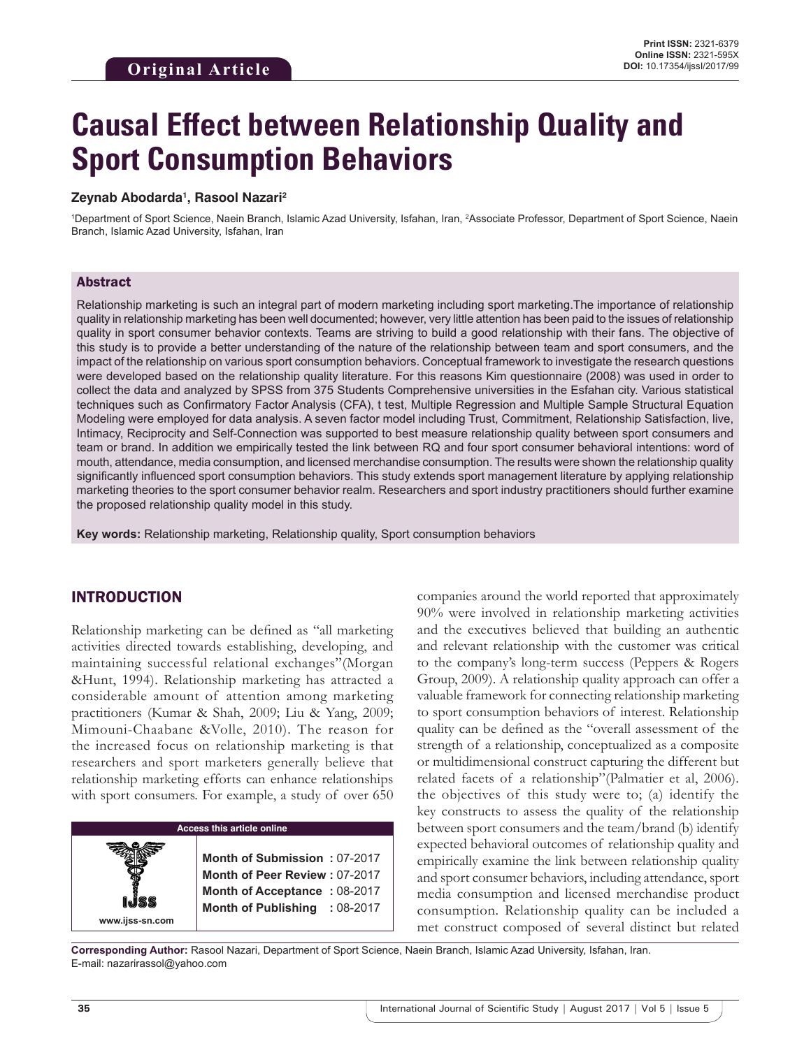# **Causal Effect between Relationship Quality and Sport Consumption Behaviors**

#### **Zeynab Abodarda1 , Rasool Nazari2**

1 Department of Sport Science, Naein Branch, Islamic Azad University, Isfahan, Iran, 2 Associate Professor, Department of Sport Science, Naein Branch, Islamic Azad University, Isfahan, Iran

#### Abstract

Relationship marketing is such an integral part of modern marketing including sport marketing.The importance of relationship quality in relationship marketing has been well documented; however, very little attention has been paid to the issues of relationship quality in sport consumer behavior contexts. Teams are striving to build a good relationship with their fans. The objective of this study is to provide a better understanding of the nature of the relationship between team and sport consumers, and the impact of the relationship on various sport consumption behaviors. Conceptual framework to investigate the research questions were developed based on the relationship quality literature. For this reasons Kim questionnaire (2008) was used in order to collect the data and analyzed by SPSS from 375 Students Comprehensive universities in the Esfahan city. Various statistical techniques such as Confirmatory Factor Analysis (CFA), t test, Multiple Regression and Multiple Sample Structural Equation Modeling were employed for data analysis. A seven factor model including Trust, Commitment, Relationship Satisfaction, live, Intimacy, Reciprocity and Self-Connection was supported to best measure relationship quality between sport consumers and team or brand. In addition we empirically tested the link between RQ and four sport consumer behavioral intentions: word of mouth, attendance, media consumption, and licensed merchandise consumption. The results were shown the relationship quality significantly influenced sport consumption behaviors. This study extends sport management literature by applying relationship marketing theories to the sport consumer behavior realm. Researchers and sport industry practitioners should further examine the proposed relationship quality model in this study.

**Key words:** Relationship marketing, Relationship quality, Sport consumption behaviors

## INTRODUCTION

Relationship marketing can be defined as "all marketing activities directed towards establishing, developing, and maintaining successful relational exchanges"(Morgan &Hunt, 1994). Relationship marketing has attracted a considerable amount of attention among marketing practitioners (Kumar & Shah, 2009; Liu & Yang, 2009; Mimouni-Chaabane &Volle, 2010). The reason for the increased focus on relationship marketing is that researchers and sport marketers generally believe that relationship marketing efforts can enhance relationships with sport consumers. For example, a study of over 650

## **Access this article online**

**Month of Submission :** 07-2017 **Month of Peer Review :** 07-2017 **Month of Acceptance :** 08-2017 **Month of Publishing :** 08-2017 companies around the world reported that approximately 90% were involved in relationship marketing activities and the executives believed that building an authentic and relevant relationship with the customer was critical to the company's long-term success (Peppers & Rogers Group, 2009). A relationship quality approach can offer a valuable framework for connecting relationship marketing to sport consumption behaviors of interest. Relationship quality can be defined as the "overall assessment of the strength of a relationship, conceptualized as a composite or multidimensional construct capturing the different but related facets of a relationship"(Palmatier et al, 2006). the objectives of this study were to; (a) identify the key constructs to assess the quality of the relationship between sport consumers and the team/brand (b) identify expected behavioral outcomes of relationship quality and empirically examine the link between relationship quality and sport consumer behaviors, including attendance, sport media consumption and licensed merchandise product consumption. Relationship quality can be included a met construct composed of several distinct but related

**Corresponding Author:** Rasool Nazari, Department of Sport Science, Naein Branch, Islamic Azad University, Isfahan, Iran. E-mail: nazarirassol@yahoo.com

**www.ijss-sn.com**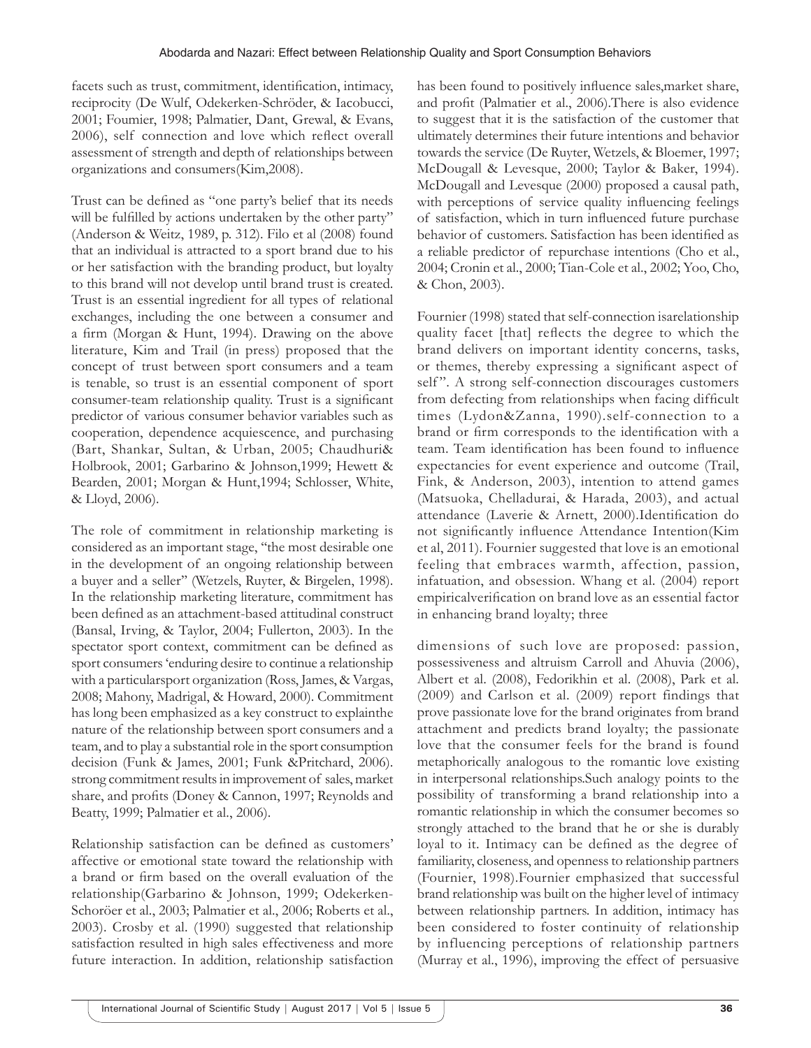facets such as trust, commitment, identification, intimacy, reciprocity (De Wulf, Odekerken-Schröder, & Iacobucci, 2001; Foumier, 1998; Palmatier, Dant, Grewal, & Evans, 2006), self connection and love which reflect overall assessment of strength and depth of relationships between organizations and consumers(Kim,2008).

Trust can be defined as "one party's belief that its needs will be fulfilled by actions undertaken by the other party" (Anderson & Weitz, 1989, p. 312). Filo et al (2008) found that an individual is attracted to a sport brand due to his or her satisfaction with the branding product, but loyalty to this brand will not develop until brand trust is created. Trust is an essential ingredient for all types of relational exchanges, including the one between a consumer and a firm (Morgan & Hunt, 1994). Drawing on the above literature, Kim and Trail (in press) proposed that the concept of trust between sport consumers and a team is tenable, so trust is an essential component of sport consumer-team relationship quality. Trust is a significant predictor of various consumer behavior variables such as cooperation, dependence acquiescence, and purchasing (Bart, Shankar, Sultan, & Urban, 2005; Chaudhuri& Holbrook, 2001; Garbarino & Johnson,1999; Hewett & Bearden, 2001; Morgan & Hunt,1994; Schlosser, White, & Lloyd, 2006).

The role of commitment in relationship marketing is considered as an important stage, ''the most desirable one in the development of an ongoing relationship between a buyer and a seller'' (Wetzels, Ruyter, & Birgelen, 1998). In the relationship marketing literature, commitment has been defined as an attachment-based attitudinal construct (Bansal, Irving, & Taylor, 2004; Fullerton, 2003). In the spectator sport context, commitment can be defined as sport consumers 'enduring desire to continue a relationship with a particularsport organization (Ross, James, & Vargas, 2008; Mahony, Madrigal, & Howard, 2000). Commitment has long been emphasized as a key construct to explainthe nature of the relationship between sport consumers and a team, and to play a substantial role in the sport consumption decision (Funk & James, 2001; Funk &Pritchard, 2006). strong commitment results in improvement of sales, market share, and profits (Doney & Cannon, 1997; Reynolds and Beatty, 1999; Palmatier et al., 2006).

Relationship satisfaction can be defined as customers' affective or emotional state toward the relationship with a brand or firm based on the overall evaluation of the relationship(Garbarino & Johnson, 1999; Odekerken-Schoröer et al., 2003; Palmatier et al., 2006; Roberts et al., 2003). Crosby et al. (1990) suggested that relationship satisfaction resulted in high sales effectiveness and more future interaction. In addition, relationship satisfaction

has been found to positively influence sales,market share, and profit (Palmatier et al., 2006).There is also evidence to suggest that it is the satisfaction of the customer that ultimately determines their future intentions and behavior towards the service (De Ruyter, Wetzels, & Bloemer, 1997; McDougall & Levesque, 2000; Taylor & Baker, 1994). McDougall and Levesque (2000) proposed a causal path, with perceptions of service quality influencing feelings of satisfaction, which in turn influenced future purchase behavior of customers. Satisfaction has been identified as a reliable predictor of repurchase intentions (Cho et al., 2004; Cronin et al., 2000; Tian-Cole et al., 2002; Yoo, Cho, & Chon, 2003).

Fournier (1998) stated that self-connection isarelationship quality facet [that] reflects the degree to which the brand delivers on important identity concerns, tasks, or themes, thereby expressing a significant aspect of self". A strong self-connection discourages customers from defecting from relationships when facing difficult times (Lydon&Zanna, 1990).self-connection to a brand or firm corresponds to the identification with a team. Team identification has been found to influence expectancies for event experience and outcome (Trail, Fink, & Anderson, 2003), intention to attend games (Matsuoka, Chelladurai, & Harada, 2003), and actual attendance (Laverie & Arnett, 2000).Identification do not significantly influence Attendance Intention(Kim et al, 2011). Fournier suggested that love is an emotional feeling that embraces warmth, affection, passion, infatuation, and obsession. Whang et al. (2004) report empiricalverification on brand love as an essential factor in enhancing brand loyalty; three

dimensions of such love are proposed: passion, possessiveness and altruism Carroll and Ahuvia (2006), Albert et al. (2008), Fedorikhin et al. (2008), Park et al. (2009) and Carlson et al. (2009) report findings that prove passionate love for the brand originates from brand attachment and predicts brand loyalty; the passionate love that the consumer feels for the brand is found metaphorically analogous to the romantic love existing in interpersonal relationships.Such analogy points to the possibility of transforming a brand relationship into a romantic relationship in which the consumer becomes so strongly attached to the brand that he or she is durably loyal to it. Intimacy can be defined as the degree of familiarity, closeness, and openness to relationship partners (Fournier, 1998).Fournier emphasized that successful brand relationship was built on the higher level of intimacy between relationship partners. In addition, intimacy has been considered to foster continuity of relationship by influencing perceptions of relationship partners (Murray et al., 1996), improving the effect of persuasive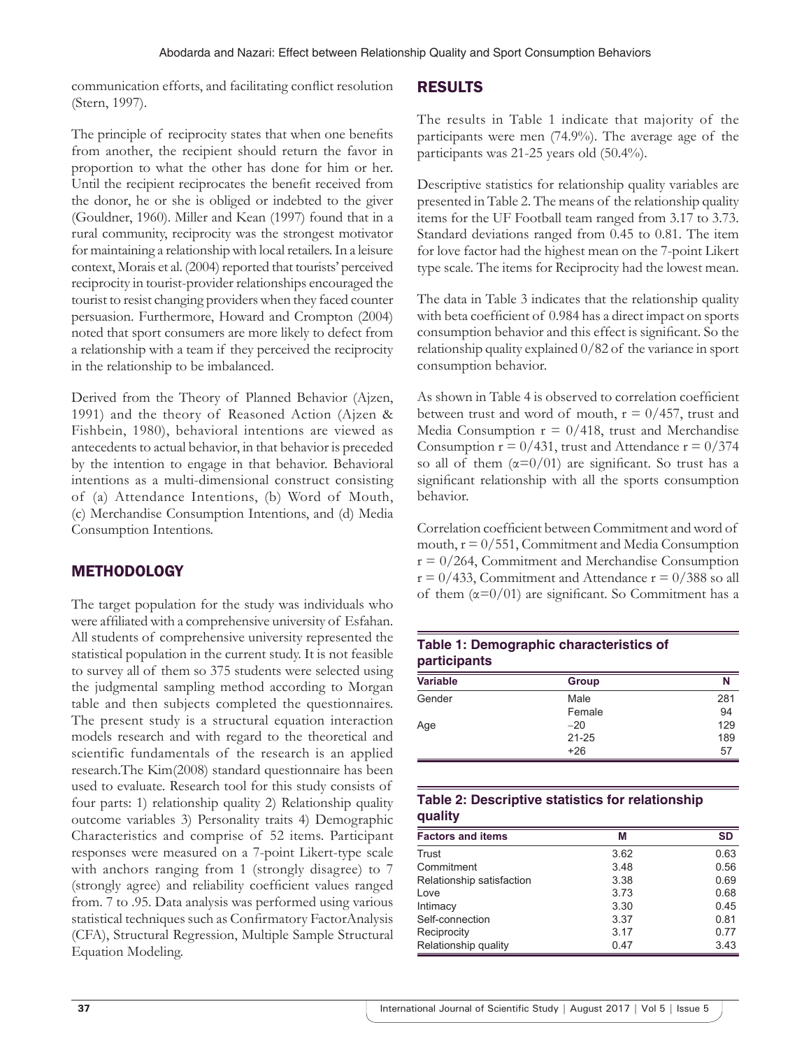communication efforts, and facilitating conflict resolution (Stern, 1997).

## The principle of reciprocity states that when one benefits from another, the recipient should return the favor in proportion to what the other has done for him or her. Until the recipient reciprocates the benefit received from the donor, he or she is obliged or indebted to the giver (Gouldner, 1960). Miller and Kean (1997) found that in a rural community, reciprocity was the strongest motivator for maintaining a relationship with local retailers. In a leisure context, Morais et al. (2004) reported that tourists' perceived reciprocity in tourist-provider relationships encouraged the tourist to resist changing providers when they faced counter persuasion. Furthermore, Howard and Crompton (2004) noted that sport consumers are more likely to defect from a relationship with a team if they perceived the reciprocity in the relationship to be imbalanced.

Derived from the Theory of Planned Behavior (Ajzen, 1991) and the theory of Reasoned Action (Ajzen & Fishbein, 1980), behavioral intentions are viewed as antecedents to actual behavior, in that behavior is preceded by the intention to engage in that behavior. Behavioral intentions as a multi-dimensional construct consisting of (a) Attendance Intentions, (b) Word of Mouth, (c) Merchandise Consumption Intentions, and (d) Media Consumption Intentions.

# **METHODOLOGY**

The target population for the study was individuals who were affiliated with a comprehensive university of Esfahan. All students of comprehensive university represented the statistical population in the current study. It is not feasible to survey all of them so 375 students were selected using the judgmental sampling method according to Morgan table and then subjects completed the questionnaires. The present study is a structural equation interaction models research and with regard to the theoretical and scientific fundamentals of the research is an applied research.The Kim(2008) standard questionnaire has been used to evaluate. Research tool for this study consists of four parts: 1) relationship quality 2) Relationship quality outcome variables 3) Personality traits 4) Demographic Characteristics and comprise of 52 items. Participant responses were measured on a 7-point Likert-type scale with anchors ranging from 1 (strongly disagree) to 7 (strongly agree) and reliability coefficient values ranged from. 7 to .95. Data analysis was performed using various statistical techniques such as Confirmatory FactorAnalysis (CFA), Structural Regression, Multiple Sample Structural Equation Modeling.

## RESULTS

The results in Table 1 indicate that majority of the participants were men (74.9%). The average age of the participants was 21-25 years old (50.4%).

Descriptive statistics for relationship quality variables are presented in Table 2. The means of the relationship quality items for the UF Football team ranged from 3.17 to 3.73. Standard deviations ranged from 0.45 to 0.81. The item for love factor had the highest mean on the 7-point Likert type scale. The items for Reciprocity had the lowest mean.

The data in Table 3 indicates that the relationship quality with beta coefficient of 0.984 has a direct impact on sports consumption behavior and this effect is significant. So the relationship quality explained 0/82 of the variance in sport consumption behavior.

As shown in Table 4 is observed to correlation coefficient between trust and word of mouth,  $r = 0/457$ , trust and Media Consumption  $r = 0/418$ , trust and Merchandise Consumption  $r = 0/431$ , trust and Attendance  $r = 0/374$ so all of them  $(\alpha=0/01)$  are significant. So trust has a significant relationship with all the sports consumption behavior.

Correlation coefficient between Commitment and word of mouth,  $r = 0/551$ , Commitment and Media Consumption  $r = 0/264$ , Commitment and Merchandise Consumption  $r = 0/433$ , Commitment and Attendance  $r = 0/388$  so all of them  $(\alpha=0/01)$  are significant. So Commitment has a

## **Table 1: Demographic characteristics of participants**

| <b>Variable</b> | Group     | N   |  |  |
|-----------------|-----------|-----|--|--|
| Gender          | Male      | 281 |  |  |
|                 | Female    | 94  |  |  |
| Age             | $-20$     | 129 |  |  |
|                 | $21 - 25$ | 189 |  |  |
|                 | $+26$     | 57  |  |  |

## **Table 2: Descriptive statistics for relationship quality**

| <b>Factors and items</b>  | М    | <b>SD</b> |
|---------------------------|------|-----------|
| Trust                     | 3.62 | 0.63      |
| Commitment                | 3.48 | 0.56      |
| Relationship satisfaction | 3.38 | 0.69      |
| Love                      | 3.73 | 0.68      |
| Intimacy                  | 3.30 | 0.45      |
| Self-connection           | 3.37 | 0.81      |
| Reciprocity               | 3.17 | 0.77      |
| Relationship quality      | 0.47 | 3.43      |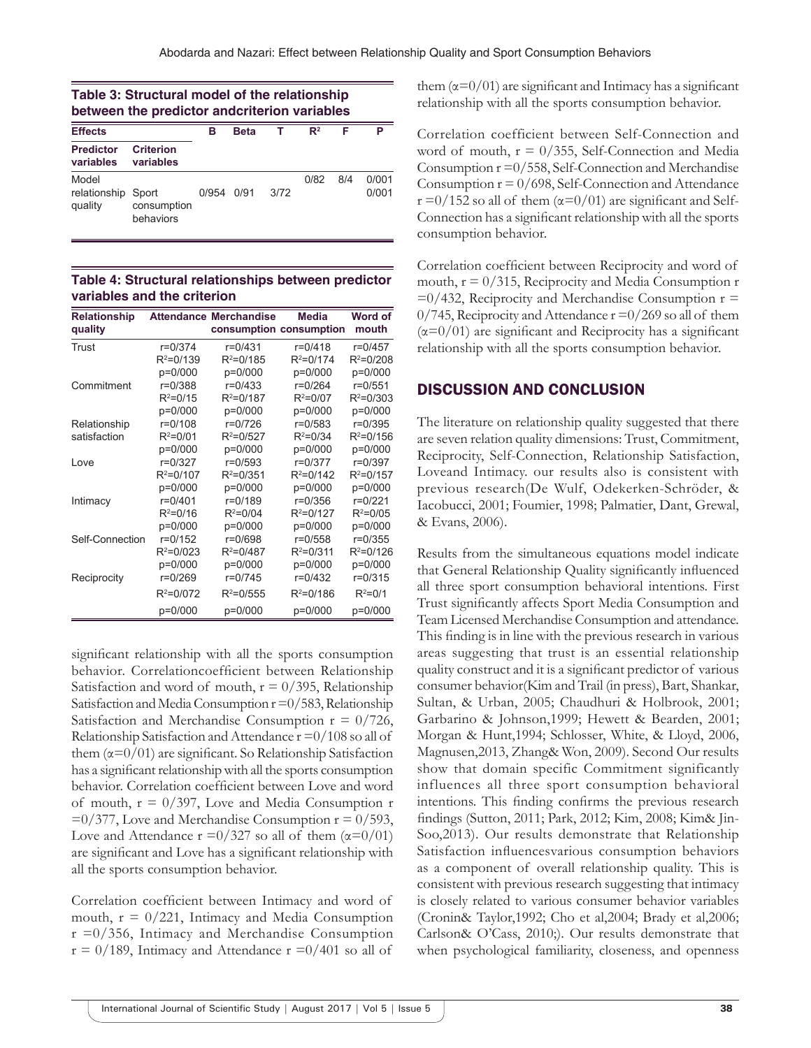| Table 3: Structural model of the relationship |  |
|-----------------------------------------------|--|
| between the predictor andcriterion variables  |  |

| <b>Effects</b>                         |                          | в     | <b>Beta</b> |      | $\mathbb{R}^2$ | F   | Р              |
|----------------------------------------|--------------------------|-------|-------------|------|----------------|-----|----------------|
| <b>Predictor</b><br>variables          | Criterion<br>variables   |       |             |      |                |     |                |
| Model<br>relationship Sport<br>quality | consumption<br>behaviors | 0/954 | 0/91        | 3/72 | 0/82           | 8/4 | 0/001<br>0/001 |

**Table 4: Structural relationships between predictor variables and the criterion**

| <b>Relationship</b><br>quality |               | <b>Attendance Merchandise</b> | <b>Media</b><br>consumption consumption | Word of<br>mouth |
|--------------------------------|---------------|-------------------------------|-----------------------------------------|------------------|
| Trust                          | $r = 0/374$   | $r = 0/431$                   | $r = 0/418$                             | $r = 0/457$      |
|                                | $R^2 = 0/139$ | $R^2 = 0/185$                 | $R^2 = 0/174$                           | $R^2 = 0/208$    |
|                                | p=0/000       | p=0/000                       | p=0/000                                 | p=0/000          |
| Commitment                     | r=0/388       | $r = 0/433$                   | $r = 0/264$                             | r=0/551          |
|                                | $R^2 = 0/15$  | $R^2 = 0/187$                 | $R^2 = 0/07$                            | $R^2 = 0/303$    |
|                                | p=0/000       | p=0/000                       | p=0/000                                 | p=0/000          |
| Relationship                   | $r = 0/108$   | r=0/726                       | $r = 0/583$                             | $r = 0/395$      |
| satisfaction                   | $R^2 = 0/01$  | $R^2 = 0/527$                 | $R^2 = 0/34$                            | $R^2 = 0/156$    |
|                                | p=0/000       | p=0/000                       | p=0/000                                 | p=0/000          |
| Love                           | r=0/327       | $r = 0/593$                   | $r = 0/377$                             | r=0/397          |
|                                | $R^2 = 0/107$ | $R^2 = 0/351$                 | $R^2 = 0/142$                           | $R^2 = 0/157$    |
|                                | p=0/000       | p=0/000                       | p=0/000                                 | p=0/000          |
| Intimacy                       | $r = 0/401$   | r=0/189                       | $r = 0/356$                             | r=0/221          |
|                                | $R^2 = 0/16$  | $R^2 = 0/04$                  | $R^2 = 0/127$                           | $R^2 = 0/05$     |
|                                | p=0/000       | p=0/000                       | p=0/000                                 | p=0/000          |
| Self-Connection                | r=0/152       | r=0/698                       | $r = 0/558$                             | $r = 0/355$      |
|                                | $R^2 = 0/023$ | $R^2 = 0/487$                 | $R^2 = 0/311$                           | $R^2 = 0/126$    |
|                                | p=0/000       | p=0/000                       | p=0/000                                 | p=0/000          |
| Reciprocity                    | $r = 0/269$   | $r = 0/745$                   | $r = 0/432$                             | $r = 0/315$      |
|                                | $R^2 = 0/072$ | $R^2 = 0/555$                 | $R^2 = 0/186$                           | $R^2 = 0/1$      |
|                                | p=0/000       | p=0/000                       | p=0/000                                 | p=0/000          |

significant relationship with all the sports consumption behavior. Correlationcoefficient between Relationship Satisfaction and word of mouth,  $r = 0/395$ , Relationship Satisfaction and Media Consumption  $r = 0/583$ , Relationship Satisfaction and Merchandise Consumption  $r = 0/726$ , Relationship Satisfaction and Attendance  $r = 0/108$  so all of them  $(\alpha=0/01)$  are significant. So Relationship Satisfaction has a significant relationship with all the sports consumption behavior. Correlation coefficient between Love and word of mouth,  $r = 0/397$ , Love and Media Consumption r  $=0/377$ , Love and Merchandise Consumption  $r = 0/593$ , Love and Attendance  $r = 0/327$  so all of them  $(\alpha = 0/01)$ are significant and Love has a significant relationship with all the sports consumption behavior.

Correlation coefficient between Intimacy and word of mouth,  $r = 0/221$ , Intimacy and Media Consumption  $r = 0/356$ , Intimacy and Merchandise Consumption  $r = 0/189$ , Intimacy and Attendance  $r = 0/401$  so all of them  $(\alpha=0/01)$  are significant and Intimacy has a significant relationship with all the sports consumption behavior.

Correlation coefficient between Self-Connection and word of mouth,  $r = 0/355$ , Self-Connection and Media Consumption r =0/558, Self-Connection and Merchandise Consumption  $r = 0/698$ , Self-Connection and Attendance  $r = 0/152$  so all of them ( $\alpha = 0/01$ ) are significant and Self-Connection has a significant relationship with all the sports consumption behavior.

Correlation coefficient between Reciprocity and word of mouth,  $r = 0/315$ , Reciprocity and Media Consumption r  $=0/432$ , Reciprocity and Merchandise Consumption  $r =$  $0/745$ , Reciprocity and Attendance  $r = 0/269$  so all of them  $(\alpha=0/01)$  are significant and Reciprocity has a significant relationship with all the sports consumption behavior.

## DISCUSSION AND CONCLUSION

The literature on relationship quality suggested that there are seven relation quality dimensions: Trust, Commitment, Reciprocity, Self-Connection, Relationship Satisfaction, Loveand Intimacy. our results also is consistent with previous research(De Wulf, Odekerken-Schröder, & Iacobucci, 2001; Foumier, 1998; Palmatier, Dant, Grewal, & Evans, 2006).

Results from the simultaneous equations model indicate that General Relationship Quality significantly influenced all three sport consumption behavioral intentions. First Trust significantly affects Sport Media Consumption and Team Licensed Merchandise Consumption and attendance. This finding is in line with the previous research in various areas suggesting that trust is an essential relationship quality construct and it is a significant predictor of various consumer behavior(Kim and Trail (in press), Bart, Shankar, Sultan, & Urban, 2005; Chaudhuri & Holbrook, 2001; Garbarino & Johnson,1999; Hewett & Bearden, 2001; Morgan & Hunt,1994; Schlosser, White, & Lloyd, 2006, Magnusen,2013, Zhang& Won, 2009). Second Our results show that domain specific Commitment significantly influences all three sport consumption behavioral intentions. This finding confirms the previous research findings (Sutton, 2011; Park, 2012; Kim, 2008; Kim& Jin-Soo,2013). Our results demonstrate that Relationship Satisfaction influencesvarious consumption behaviors as a component of overall relationship quality. This is consistent with previous research suggesting that intimacy is closely related to various consumer behavior variables (Cronin& Taylor,1992; Cho et al,2004; Brady et al,2006; Carlson& O'Cass, 2010;). Our results demonstrate that when psychological familiarity, closeness, and openness